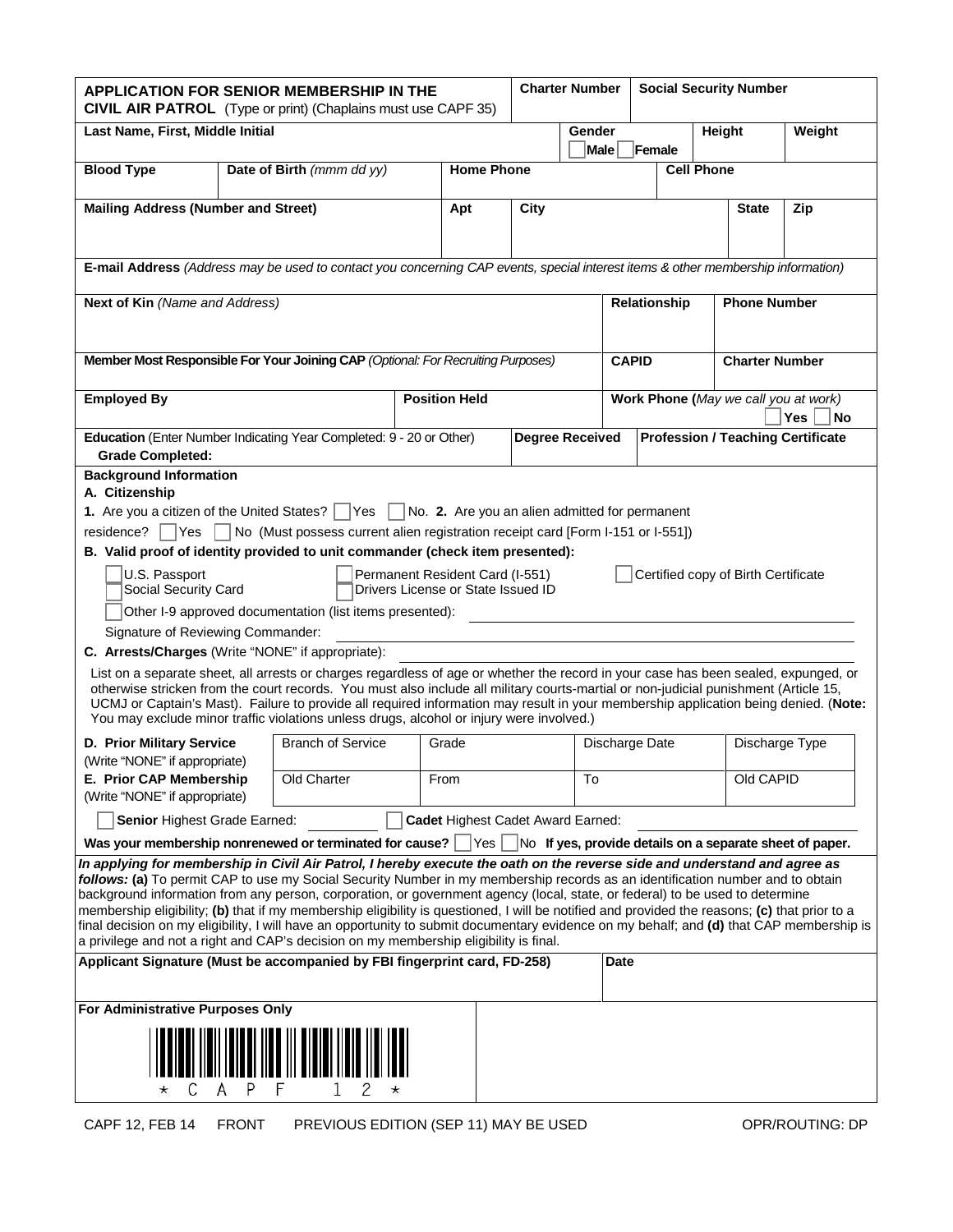| <b>APPLICATION FOR SENIOR MEMBERSHIP IN THE</b><br><b>CIVIL AIR PATROL</b> (Type or print) (Chaplains must use CAPF 35)                                                                                                                                                                                                                                                                                                                                                                                                                                                                                                                                                                                                                                                                                                                                                                                                                                                                               |                                                                     |                           |     |                                   |                        | <b>Charter Number</b>   |                                                   | <b>Social Security Number</b> |                       |                                          |        |
|-------------------------------------------------------------------------------------------------------------------------------------------------------------------------------------------------------------------------------------------------------------------------------------------------------------------------------------------------------------------------------------------------------------------------------------------------------------------------------------------------------------------------------------------------------------------------------------------------------------------------------------------------------------------------------------------------------------------------------------------------------------------------------------------------------------------------------------------------------------------------------------------------------------------------------------------------------------------------------------------------------|---------------------------------------------------------------------|---------------------------|-----|-----------------------------------|------------------------|-------------------------|---------------------------------------------------|-------------------------------|-----------------------|------------------------------------------|--------|
| Last Name, First, Middle Initial                                                                                                                                                                                                                                                                                                                                                                                                                                                                                                                                                                                                                                                                                                                                                                                                                                                                                                                                                                      |                                                                     |                           |     |                                   |                        | Gender                  |                                                   |                               | Height                |                                          | Weight |
|                                                                                                                                                                                                                                                                                                                                                                                                                                                                                                                                                                                                                                                                                                                                                                                                                                                                                                                                                                                                       |                                                                     |                           |     |                                   |                        | Male                    |                                                   | Female                        |                       |                                          |        |
| <b>Blood Type</b>                                                                                                                                                                                                                                                                                                                                                                                                                                                                                                                                                                                                                                                                                                                                                                                                                                                                                                                                                                                     |                                                                     | Date of Birth (mmm dd yy) |     | <b>Home Phone</b>                 |                        |                         | <b>Cell Phone</b>                                 |                               |                       |                                          |        |
| <b>Mailing Address (Number and Street)</b>                                                                                                                                                                                                                                                                                                                                                                                                                                                                                                                                                                                                                                                                                                                                                                                                                                                                                                                                                            |                                                                     |                           | Apt | City                              |                        |                         |                                                   |                               | <b>State</b>          | Zip                                      |        |
|                                                                                                                                                                                                                                                                                                                                                                                                                                                                                                                                                                                                                                                                                                                                                                                                                                                                                                                                                                                                       |                                                                     |                           |     |                                   |                        |                         |                                                   |                               |                       |                                          |        |
| E-mail Address (Address may be used to contact you concerning CAP events, special interest items & other membership information)                                                                                                                                                                                                                                                                                                                                                                                                                                                                                                                                                                                                                                                                                                                                                                                                                                                                      |                                                                     |                           |     |                                   |                        |                         |                                                   |                               |                       |                                          |        |
| Next of Kin (Name and Address)                                                                                                                                                                                                                                                                                                                                                                                                                                                                                                                                                                                                                                                                                                                                                                                                                                                                                                                                                                        |                                                                     |                           |     |                                   | Relationship           |                         |                                                   |                               |                       | <b>Phone Number</b>                      |        |
| Member Most Responsible For Your Joining CAP (Optional: For Recruiting Purposes)                                                                                                                                                                                                                                                                                                                                                                                                                                                                                                                                                                                                                                                                                                                                                                                                                                                                                                                      |                                                                     |                           |     |                                   | <b>CAPID</b>           |                         |                                                   |                               | <b>Charter Number</b> |                                          |        |
| <b>Employed By</b>                                                                                                                                                                                                                                                                                                                                                                                                                                                                                                                                                                                                                                                                                                                                                                                                                                                                                                                                                                                    | <b>Position Held</b>                                                |                           |     |                                   |                        |                         | Work Phone (May we call you at work)<br>Yes<br>No |                               |                       |                                          |        |
| <b>Grade Completed:</b>                                                                                                                                                                                                                                                                                                                                                                                                                                                                                                                                                                                                                                                                                                                                                                                                                                                                                                                                                                               | Education (Enter Number Indicating Year Completed: 9 - 20 or Other) |                           |     |                                   | <b>Degree Received</b> |                         |                                                   |                               |                       | <b>Profession / Teaching Certificate</b> |        |
|                                                                                                                                                                                                                                                                                                                                                                                                                                                                                                                                                                                                                                                                                                                                                                                                                                                                                                                                                                                                       | <b>Background Information</b>                                       |                           |     |                                   |                        |                         |                                                   |                               |                       |                                          |        |
| A. Citizenship                                                                                                                                                                                                                                                                                                                                                                                                                                                                                                                                                                                                                                                                                                                                                                                                                                                                                                                                                                                        |                                                                     |                           |     |                                   |                        |                         |                                                   |                               |                       |                                          |        |
| 1. Are you a citizen of the United States?     Yes     No. 2. Are you an alien admitted for permanent                                                                                                                                                                                                                                                                                                                                                                                                                                                                                                                                                                                                                                                                                                                                                                                                                                                                                                 |                                                                     |                           |     |                                   |                        |                         |                                                   |                               |                       |                                          |        |
| No (Must possess current alien registration receipt card [Form I-151 or I-551])<br>residence?   Yes                                                                                                                                                                                                                                                                                                                                                                                                                                                                                                                                                                                                                                                                                                                                                                                                                                                                                                   |                                                                     |                           |     |                                   |                        |                         |                                                   |                               |                       |                                          |        |
| B. Valid proof of identity provided to unit commander (check item presented):                                                                                                                                                                                                                                                                                                                                                                                                                                                                                                                                                                                                                                                                                                                                                                                                                                                                                                                         |                                                                     |                           |     |                                   |                        |                         |                                                   |                               |                       |                                          |        |
| U.S. Passport<br>Permanent Resident Card (I-551)<br>Certified copy of Birth Certificate<br>Drivers License or State Issued ID<br>Social Security Card<br>Other I-9 approved documentation (list items presented):                                                                                                                                                                                                                                                                                                                                                                                                                                                                                                                                                                                                                                                                                                                                                                                     |                                                                     |                           |     |                                   |                        |                         |                                                   |                               |                       |                                          |        |
| Signature of Reviewing Commander:                                                                                                                                                                                                                                                                                                                                                                                                                                                                                                                                                                                                                                                                                                                                                                                                                                                                                                                                                                     |                                                                     |                           |     |                                   |                        |                         |                                                   |                               |                       |                                          |        |
| C. Arrests/Charges (Write "NONE" if appropriate):                                                                                                                                                                                                                                                                                                                                                                                                                                                                                                                                                                                                                                                                                                                                                                                                                                                                                                                                                     |                                                                     |                           |     |                                   |                        |                         |                                                   |                               |                       |                                          |        |
| List on a separate sheet, all arrests or charges regardless of age or whether the record in your case has been sealed, expunged, or<br>otherwise stricken from the court records. You must also include all military courts-martial or non-judicial punishment (Article 15,<br>UCMJ or Captain's Mast). Failure to provide all required information may result in your membership application being denied. (Note:<br>You may exclude minor traffic violations unless drugs, alcohol or injury were involved.)                                                                                                                                                                                                                                                                                                                                                                                                                                                                                        |                                                                     |                           |     |                                   |                        |                         |                                                   |                               |                       |                                          |        |
| D. Prior Military Service<br>(Write "NONE" if appropriate)                                                                                                                                                                                                                                                                                                                                                                                                                                                                                                                                                                                                                                                                                                                                                                                                                                                                                                                                            |                                                                     | <b>Branch of Service</b>  |     | Grade                             |                        |                         | Discharge Date                                    |                               |                       | Discharge Type                           |        |
| E. Prior CAP Membership<br>(Write "NONE" if appropriate)                                                                                                                                                                                                                                                                                                                                                                                                                                                                                                                                                                                                                                                                                                                                                                                                                                                                                                                                              |                                                                     | Old Charter               |     | From                              |                        | $\overline{\mathsf{T}}$ |                                                   |                               |                       | Old CAPID                                |        |
| Senior Highest Grade Earned:                                                                                                                                                                                                                                                                                                                                                                                                                                                                                                                                                                                                                                                                                                                                                                                                                                                                                                                                                                          |                                                                     |                           |     | Cadet Highest Cadet Award Earned: |                        |                         |                                                   |                               |                       |                                          |        |
|                                                                                                                                                                                                                                                                                                                                                                                                                                                                                                                                                                                                                                                                                                                                                                                                                                                                                                                                                                                                       |                                                                     |                           |     |                                   |                        |                         |                                                   |                               |                       |                                          |        |
| Was your membership nonrenewed or terminated for cause?   Yes  <br>No If yes, provide details on a separate sheet of paper.<br>In applying for membership in Civil Air Patrol, I hereby execute the oath on the reverse side and understand and agree as<br>follows: (a) To permit CAP to use my Social Security Number in my membership records as an identification number and to obtain<br>background information from any person, corporation, or government agency (local, state, or federal) to be used to determine<br>membership eligibility; (b) that if my membership eligibility is questioned, I will be notified and provided the reasons; (c) that prior to a<br>final decision on my eligibility, I will have an opportunity to submit documentary evidence on my behalf; and (d) that CAP membership is<br>a privilege and not a right and CAP's decision on my membership eligibility is final.<br>Applicant Signature (Must be accompanied by FBI fingerprint card, FD-258)<br>Date |                                                                     |                           |     |                                   |                        |                         |                                                   |                               |                       |                                          |        |
| For Administrative Purposes Only                                                                                                                                                                                                                                                                                                                                                                                                                                                                                                                                                                                                                                                                                                                                                                                                                                                                                                                                                                      |                                                                     |                           |     |                                   |                        |                         |                                                   |                               |                       |                                          |        |
| 2                                                                                                                                                                                                                                                                                                                                                                                                                                                                                                                                                                                                                                                                                                                                                                                                                                                                                                                                                                                                     |                                                                     |                           |     |                                   |                        |                         |                                                   |                               |                       |                                          |        |